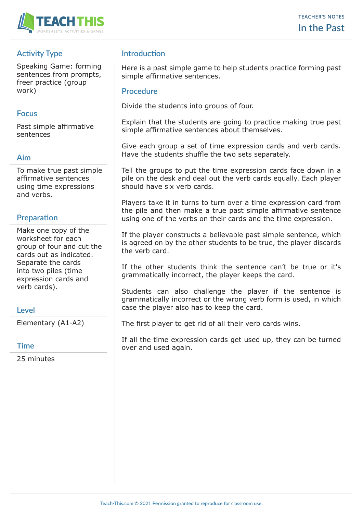

## **Activity Type**

Speaking Game: forming sentences from prompts, freer practice (group work)

### **Focus**

Past simple affirmative sentences

### **Aim**

To make true past simple affirmative sentences using time expressions and verbs.

## **Preparation**

Make one copy of the worksheet for each group of four and cut the cards out as indicated. Separate the cards into two piles (time expression cards and verb cards).

## **Level**

Elementary (A1-A2)

#### **Time**

25 minutes

## **Introduction**

Here is a past simple game to help students practice forming past simple affirmative sentences.

#### **Procedure**

Divide the students into groups of four.

Explain that the students are going to practice making true past simple affirmative sentences about themselves.

Give each group a set of time expression cards and verb cards. Have the students shuffle the two sets separately.

Tell the groups to put the time expression cards face down in a pile on the desk and deal out the verb cards equally. Each player should have six verb cards.

Players take it in turns to turn over a time expression card from the pile and then make a true past simple affirmative sentence using one of the verbs on their cards and the time expression.

If the player constructs a believable past simple sentence, which is agreed on by the other students to be true, the player discards the verb card.

If the other students think the sentence can't be true or it's grammatically incorrect, the player keeps the card.

Students can also challenge the player if the sentence is grammatically incorrect or the wrong verb form is used, in which case the player also has to keep the card.

The first player to get rid of all their verb cards wins.

If all the time expression cards get used up, they can be turned over and used again.